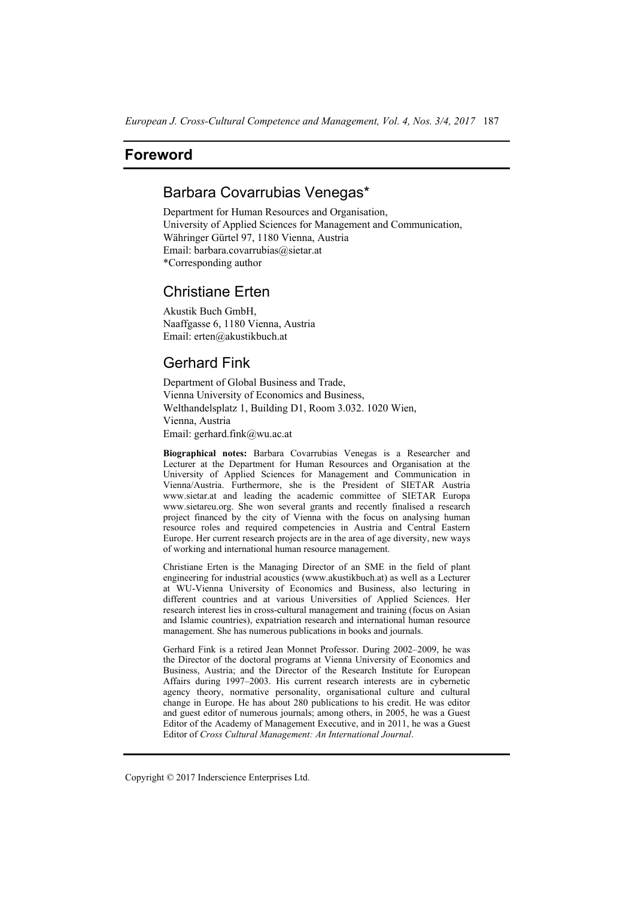### **Foreword**

# Barbara Covarrubias Venegas\*

Department for Human Resources and Organisation, University of Applied Sciences for Management and Communication, Währinger Gürtel 97, 1180 Vienna, Austria Email: barbara.covarrubias@sietar.at \*Corresponding author

### Christiane Erten

Akustik Buch GmbH, Naaffgasse 6, 1180 Vienna, Austria Email: erten@akustikbuch.at

# Gerhard Fink

Department of Global Business and Trade, Vienna University of Economics and Business, Welthandelsplatz 1, Building D1, Room 3.032. 1020 Wien, Vienna, Austria Email: gerhard.fink@wu.ac.at

**Biographical notes:** Barbara Covarrubias Venegas is a Researcher and Lecturer at the Department for Human Resources and Organisation at the University of Applied Sciences for Management and Communication in Vienna/Austria. Furthermore, she is the President of SIETAR Austria www.sietar.at and leading the academic committee of SIETAR Europa www.sietareu.org. She won several grants and recently finalised a research project financed by the city of Vienna with the focus on analysing human resource roles and required competencies in Austria and Central Eastern Europe. Her current research projects are in the area of age diversity, new ways of working and international human resource management.

Christiane Erten is the Managing Director of an SME in the field of plant engineering for industrial acoustics (www.akustikbuch.at) as well as a Lecturer at WU-Vienna University of Economics and Business, also lecturing in different countries and at various Universities of Applied Sciences. Her research interest lies in cross-cultural management and training (focus on Asian and Islamic countries), expatriation research and international human resource management. She has numerous publications in books and journals.

Gerhard Fink is a retired Jean Monnet Professor. During 2002–2009, he was the Director of the doctoral programs at Vienna University of Economics and Business, Austria; and the Director of the Research Institute for European Affairs during 1997–2003. His current research interests are in cybernetic agency theory, normative personality, organisational culture and cultural change in Europe. He has about 280 publications to his credit. He was editor and guest editor of numerous journals; among others, in 2005, he was a Guest Editor of the Academy of Management Executive, and in 2011, he was a Guest Editor of *Cross Cultural Management: An International Journal*.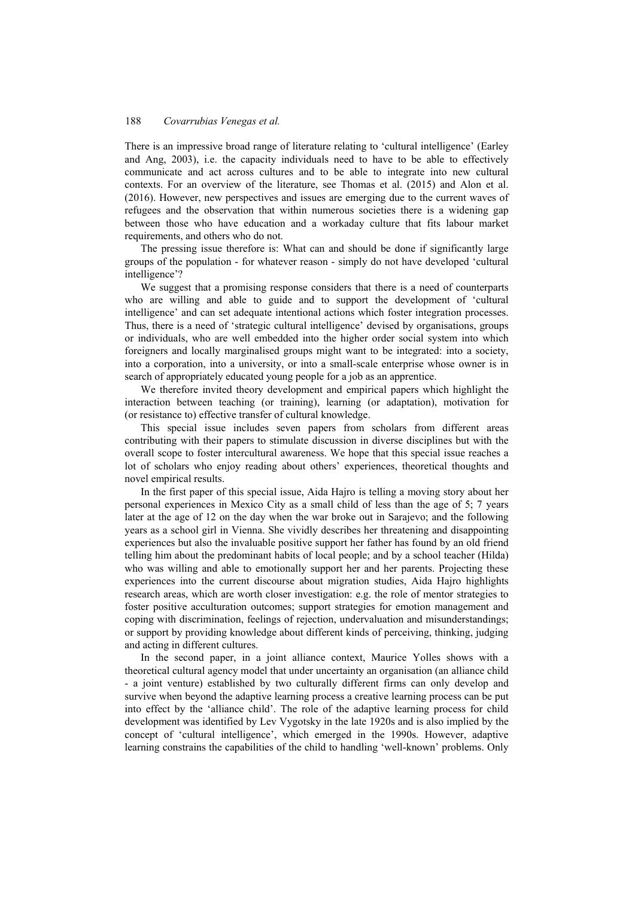### 188 *Covarrubias Venegas et al.*

There is an impressive broad range of literature relating to 'cultural intelligence' (Earley and Ang, 2003), i.e. the capacity individuals need to have to be able to effectively communicate and act across cultures and to be able to integrate into new cultural contexts. For an overview of the literature, see Thomas et al. (2015) and Alon et al. (2016). However, new perspectives and issues are emerging due to the current waves of refugees and the observation that within numerous societies there is a widening gap between those who have education and a workaday culture that fits labour market requirements, and others who do not.

The pressing issue therefore is: What can and should be done if significantly large groups of the population - for whatever reason - simply do not have developed 'cultural intelligence'?

We suggest that a promising response considers that there is a need of counterparts who are willing and able to guide and to support the development of 'cultural intelligence' and can set adequate intentional actions which foster integration processes. Thus, there is a need of 'strategic cultural intelligence' devised by organisations, groups or individuals, who are well embedded into the higher order social system into which foreigners and locally marginalised groups might want to be integrated: into a society, into a corporation, into a university, or into a small-scale enterprise whose owner is in search of appropriately educated young people for a job as an apprentice.

We therefore invited theory development and empirical papers which highlight the interaction between teaching (or training), learning (or adaptation), motivation for (or resistance to) effective transfer of cultural knowledge.

This special issue includes seven papers from scholars from different areas contributing with their papers to stimulate discussion in diverse disciplines but with the overall scope to foster intercultural awareness. We hope that this special issue reaches a lot of scholars who enjoy reading about others' experiences, theoretical thoughts and novel empirical results.

In the first paper of this special issue, Aida Hajro is telling a moving story about her personal experiences in Mexico City as a small child of less than the age of 5; 7 years later at the age of 12 on the day when the war broke out in Sarajevo; and the following years as a school girl in Vienna. She vividly describes her threatening and disappointing experiences but also the invaluable positive support her father has found by an old friend telling him about the predominant habits of local people; and by a school teacher (Hilda) who was willing and able to emotionally support her and her parents. Projecting these experiences into the current discourse about migration studies, Aida Hajro highlights research areas, which are worth closer investigation: e.g. the role of mentor strategies to foster positive acculturation outcomes; support strategies for emotion management and coping with discrimination, feelings of rejection, undervaluation and misunderstandings; or support by providing knowledge about different kinds of perceiving, thinking, judging and acting in different cultures.

In the second paper, in a joint alliance context, Maurice Yolles shows with a theoretical cultural agency model that under uncertainty an organisation (an alliance child - a joint venture) established by two culturally different firms can only develop and survive when beyond the adaptive learning process a creative learning process can be put into effect by the 'alliance child'. The role of the adaptive learning process for child development was identified by Lev Vygotsky in the late 1920s and is also implied by the concept of 'cultural intelligence', which emerged in the 1990s. However, adaptive learning constrains the capabilities of the child to handling 'well-known' problems. Only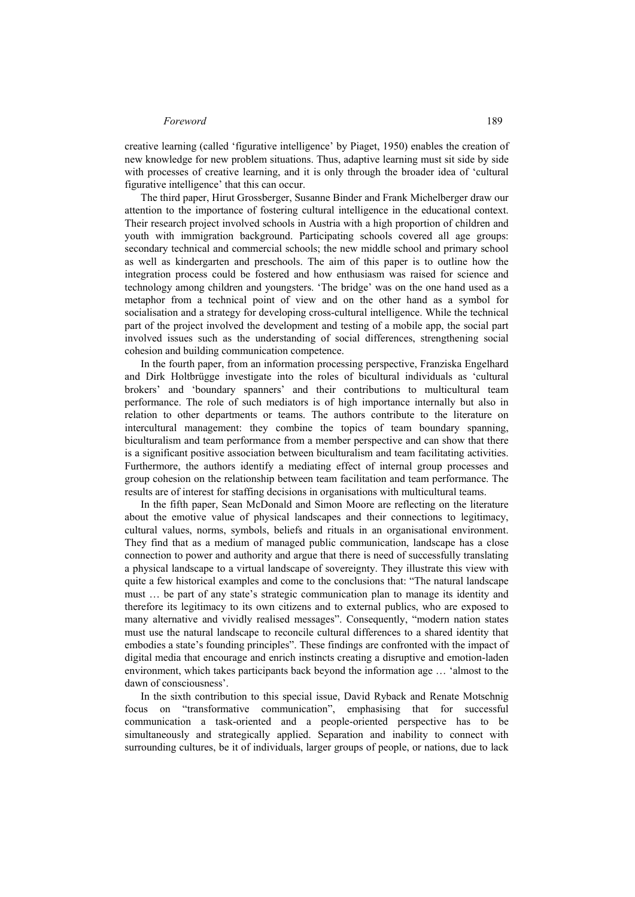### *Foreword* 189

creative learning (called 'figurative intelligence' by Piaget, 1950) enables the creation of new knowledge for new problem situations. Thus, adaptive learning must sit side by side with processes of creative learning, and it is only through the broader idea of 'cultural figurative intelligence' that this can occur.

The third paper, Hirut Grossberger, Susanne Binder and Frank Michelberger draw our attention to the importance of fostering cultural intelligence in the educational context. Their research project involved schools in Austria with a high proportion of children and youth with immigration background. Participating schools covered all age groups: secondary technical and commercial schools; the new middle school and primary school as well as kindergarten and preschools. The aim of this paper is to outline how the integration process could be fostered and how enthusiasm was raised for science and technology among children and youngsters. 'The bridge' was on the one hand used as a metaphor from a technical point of view and on the other hand as a symbol for socialisation and a strategy for developing cross-cultural intelligence. While the technical part of the project involved the development and testing of a mobile app, the social part involved issues such as the understanding of social differences, strengthening social cohesion and building communication competence.

In the fourth paper, from an information processing perspective, Franziska Engelhard and Dirk Holtbrügge investigate into the roles of bicultural individuals as 'cultural brokers' and 'boundary spanners' and their contributions to multicultural team performance. The role of such mediators is of high importance internally but also in relation to other departments or teams. The authors contribute to the literature on intercultural management: they combine the topics of team boundary spanning, biculturalism and team performance from a member perspective and can show that there is a significant positive association between biculturalism and team facilitating activities. Furthermore, the authors identify a mediating effect of internal group processes and group cohesion on the relationship between team facilitation and team performance. The results are of interest for staffing decisions in organisations with multicultural teams.

In the fifth paper, Sean McDonald and Simon Moore are reflecting on the literature about the emotive value of physical landscapes and their connections to legitimacy, cultural values, norms, symbols, beliefs and rituals in an organisational environment. They find that as a medium of managed public communication, landscape has a close connection to power and authority and argue that there is need of successfully translating a physical landscape to a virtual landscape of sovereignty. They illustrate this view with quite a few historical examples and come to the conclusions that: "The natural landscape must … be part of any state's strategic communication plan to manage its identity and therefore its legitimacy to its own citizens and to external publics, who are exposed to many alternative and vividly realised messages". Consequently, "modern nation states must use the natural landscape to reconcile cultural differences to a shared identity that embodies a state's founding principles". These findings are confronted with the impact of digital media that encourage and enrich instincts creating a disruptive and emotion-laden environment, which takes participants back beyond the information age … 'almost to the dawn of consciousness'.

In the sixth contribution to this special issue, David Ryback and Renate Motschnig focus on "transformative communication", emphasising that for successful communication a task-oriented and a people-oriented perspective has to be simultaneously and strategically applied. Separation and inability to connect with surrounding cultures, be it of individuals, larger groups of people, or nations, due to lack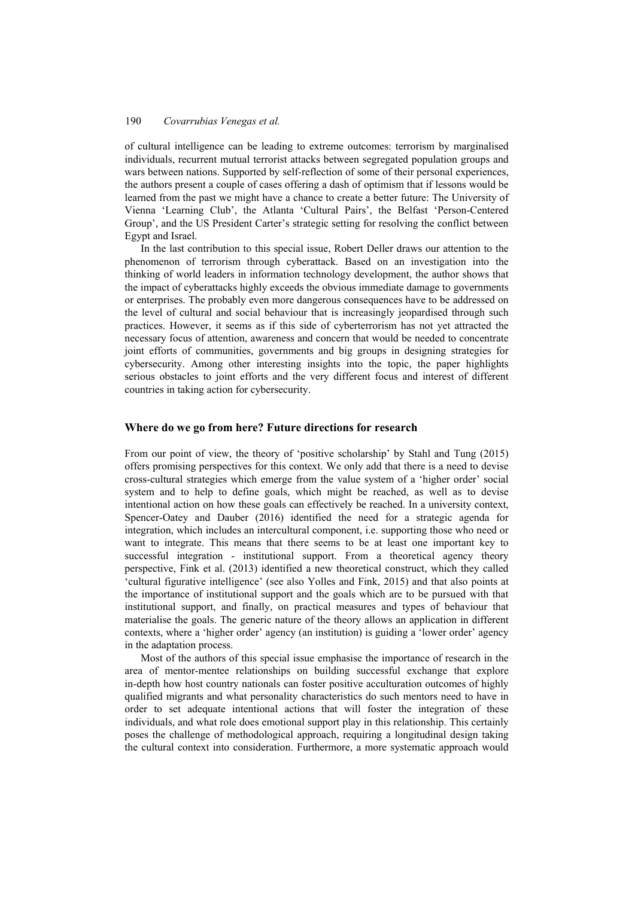### 190 *Covarrubias Venegas et al.*

of cultural intelligence can be leading to extreme outcomes: terrorism by marginalised individuals, recurrent mutual terrorist attacks between segregated population groups and wars between nations. Supported by self-reflection of some of their personal experiences, the authors present a couple of cases offering a dash of optimism that if lessons would be learned from the past we might have a chance to create a better future: The University of Vienna 'Learning Club', the Atlanta 'Cultural Pairs', the Belfast 'Person-Centered Group', and the US President Carter's strategic setting for resolving the conflict between Egypt and Israel.

In the last contribution to this special issue, Robert Deller draws our attention to the phenomenon of terrorism through cyberattack. Based on an investigation into the thinking of world leaders in information technology development, the author shows that the impact of cyberattacks highly exceeds the obvious immediate damage to governments or enterprises. The probably even more dangerous consequences have to be addressed on the level of cultural and social behaviour that is increasingly jeopardised through such practices. However, it seems as if this side of cyberterrorism has not yet attracted the necessary focus of attention, awareness and concern that would be needed to concentrate joint efforts of communities, governments and big groups in designing strategies for cybersecurity. Among other interesting insights into the topic, the paper highlights serious obstacles to joint efforts and the very different focus and interest of different countries in taking action for cybersecurity.

#### **Where do we go from here? Future directions for research**

From our point of view, the theory of 'positive scholarship' by Stahl and Tung (2015) offers promising perspectives for this context. We only add that there is a need to devise cross-cultural strategies which emerge from the value system of a 'higher order' social system and to help to define goals, which might be reached, as well as to devise intentional action on how these goals can effectively be reached. In a university context, Spencer-Oatey and Dauber (2016) identified the need for a strategic agenda for integration, which includes an intercultural component, i.e. supporting those who need or want to integrate. This means that there seems to be at least one important key to successful integration - institutional support. From a theoretical agency theory perspective, Fink et al. (2013) identified a new theoretical construct, which they called 'cultural figurative intelligence' (see also Yolles and Fink, 2015) and that also points at the importance of institutional support and the goals which are to be pursued with that institutional support, and finally, on practical measures and types of behaviour that materialise the goals. The generic nature of the theory allows an application in different contexts, where a 'higher order' agency (an institution) is guiding a 'lower order' agency in the adaptation process.

Most of the authors of this special issue emphasise the importance of research in the area of mentor-mentee relationships on building successful exchange that explore in-depth how host country nationals can foster positive acculturation outcomes of highly qualified migrants and what personality characteristics do such mentors need to have in order to set adequate intentional actions that will foster the integration of these individuals, and what role does emotional support play in this relationship. This certainly poses the challenge of methodological approach, requiring a longitudinal design taking the cultural context into consideration. Furthermore, a more systematic approach would